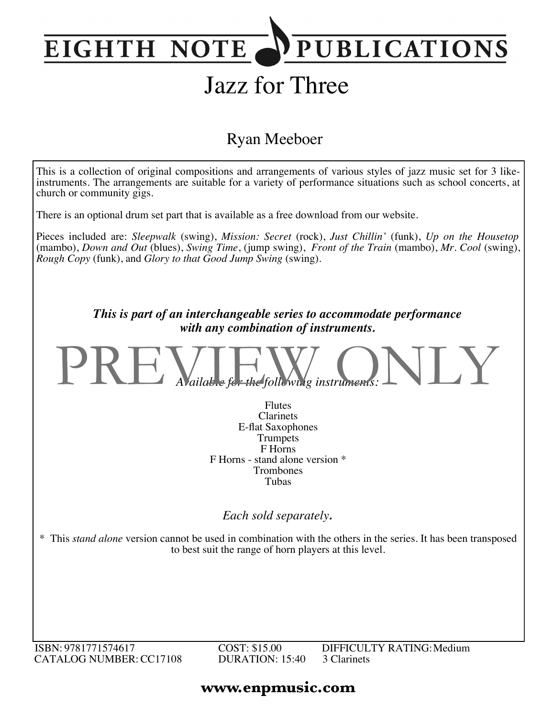## **PUBLICATIONS EIGHTH NOTE**

# Jazz for Three

### Ryan Meeboer



ISBN: 9781771574617 CATALOG NUMBER:CC17108 COST: \$15.00 DURATION: 15:40 DIFFICULTY RATING:Medium 3 Clarinets

### **www.enpmusic.com**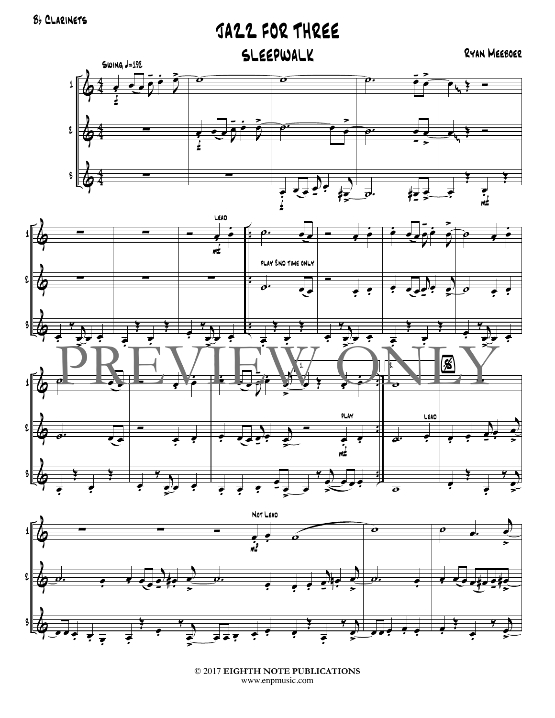JAZZ FOR THREE

RYAN MEEBOER







<sup>© 2017</sup> EIGHTH NOTE PUBLICATIONS www.enpmusic.com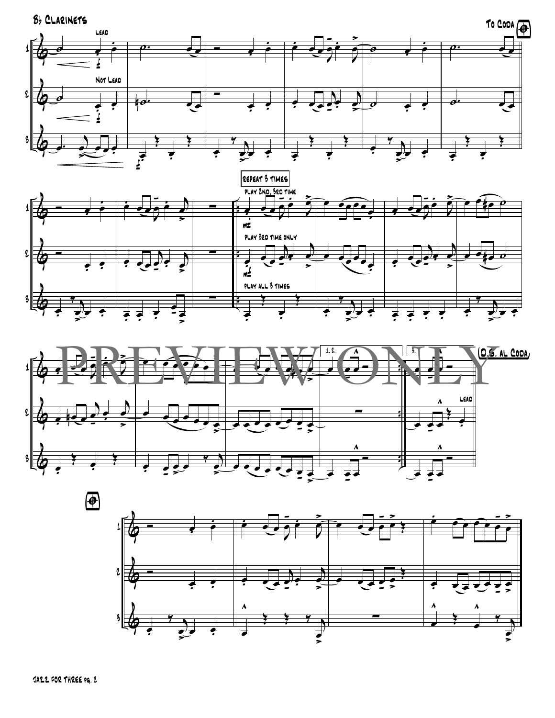





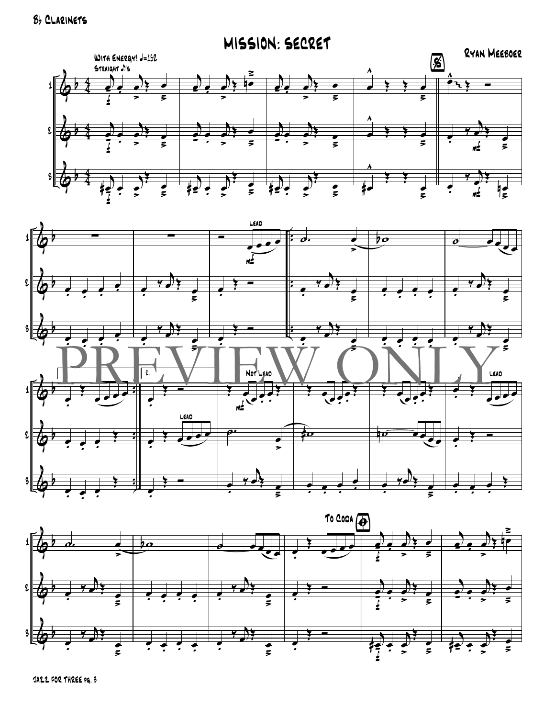



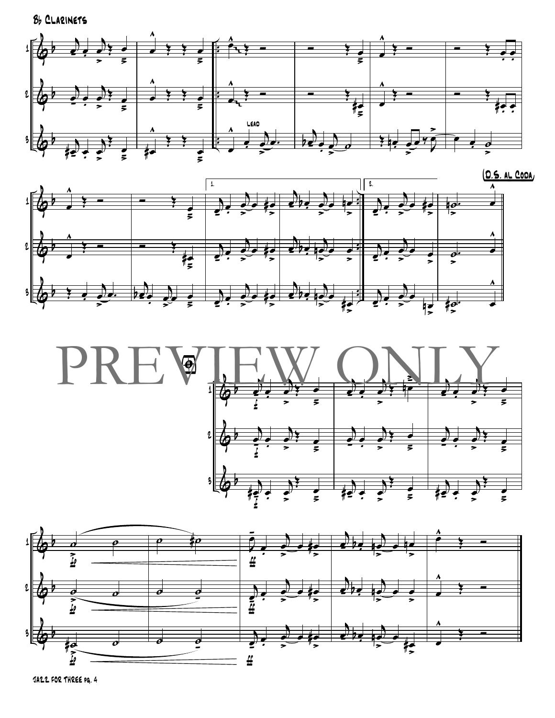





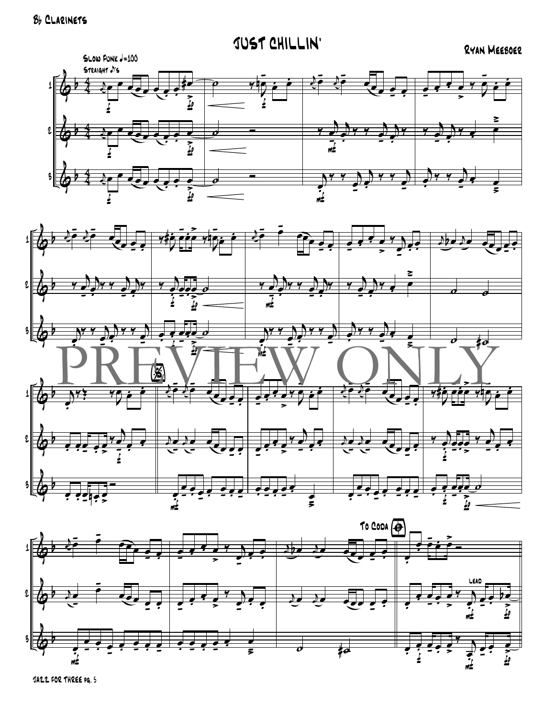$\pmb{\mathfrak{1}}$ 

 $\iota$ 





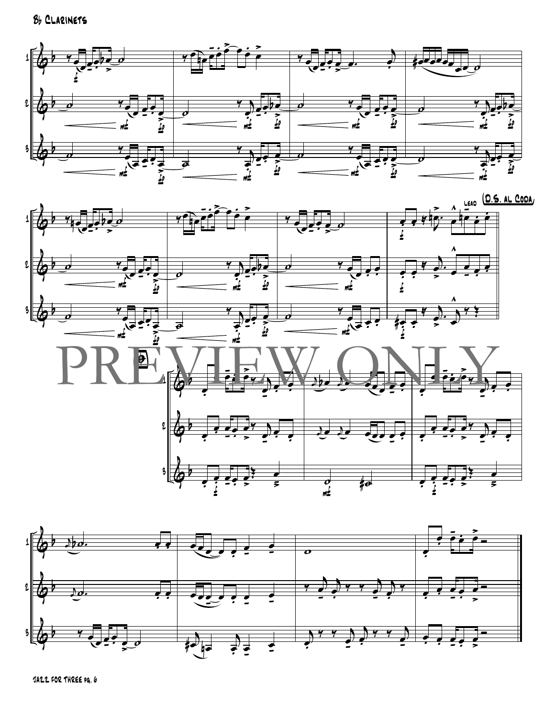



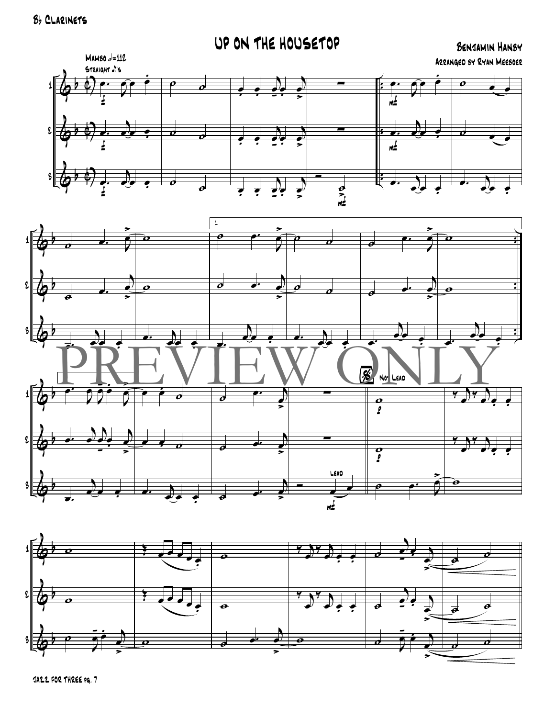UP ON THE HOUSETOP

BENJAMIN HANBY ARRANGED BY RYAN MEEBOER





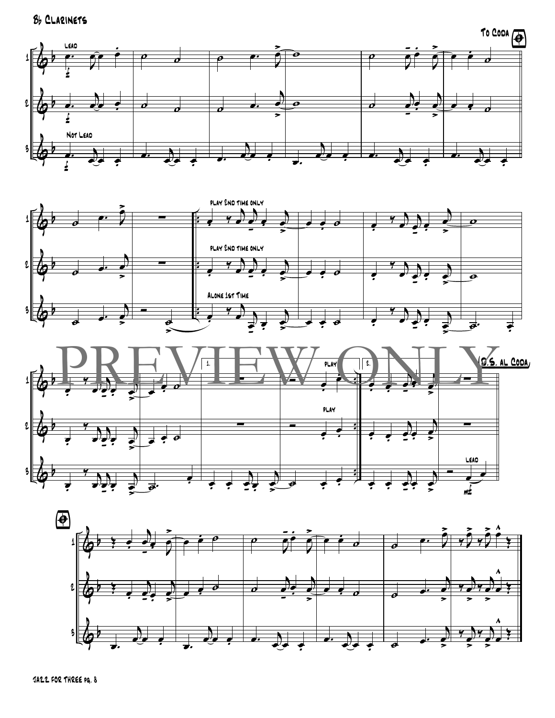Bb CLARINETS







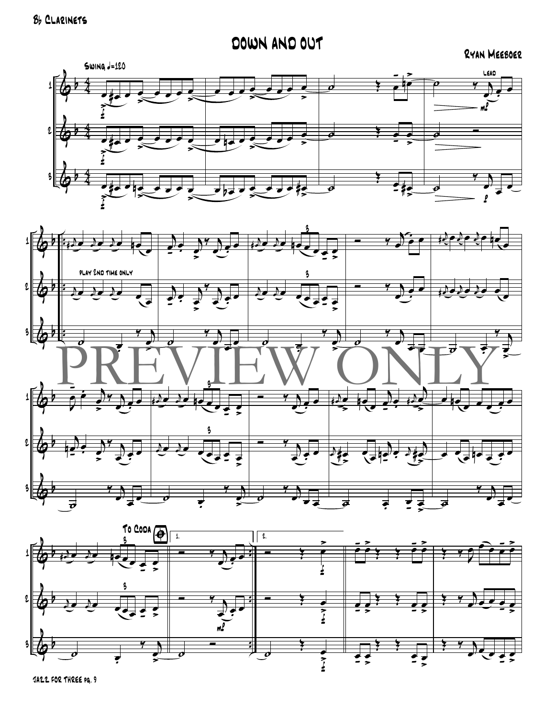### DOWN AND OUT

#### RYAN MEEBOER





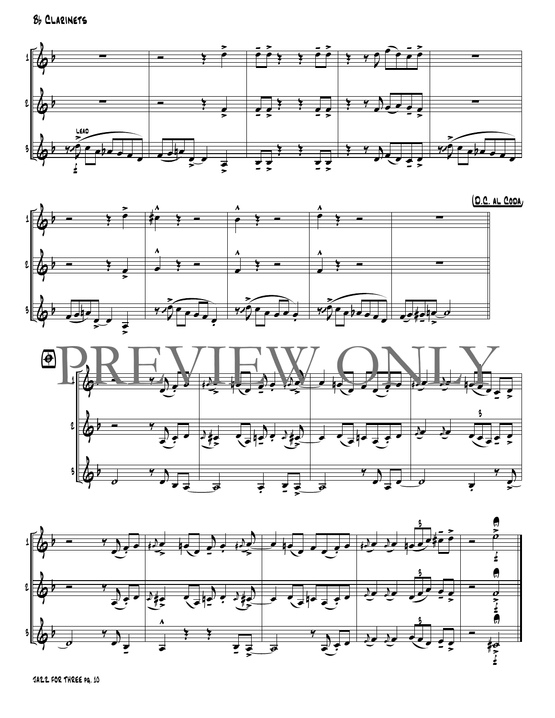Bb CLARINETS







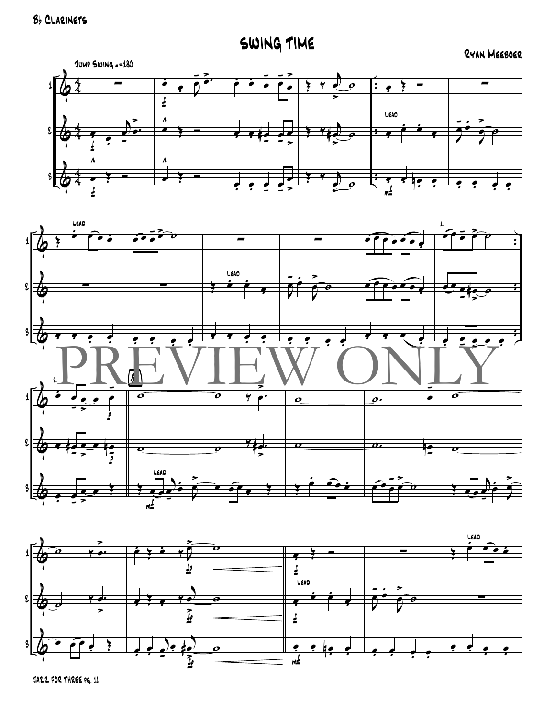SWING TIME

RYAN MEEBOER





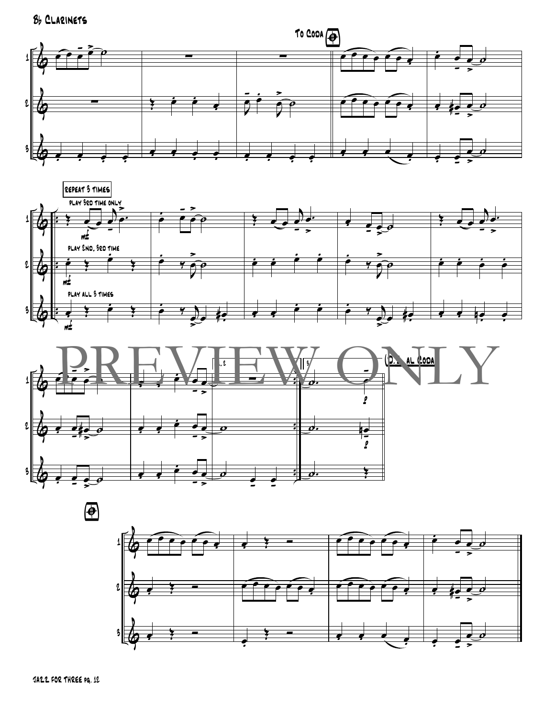Bb CLARINETS









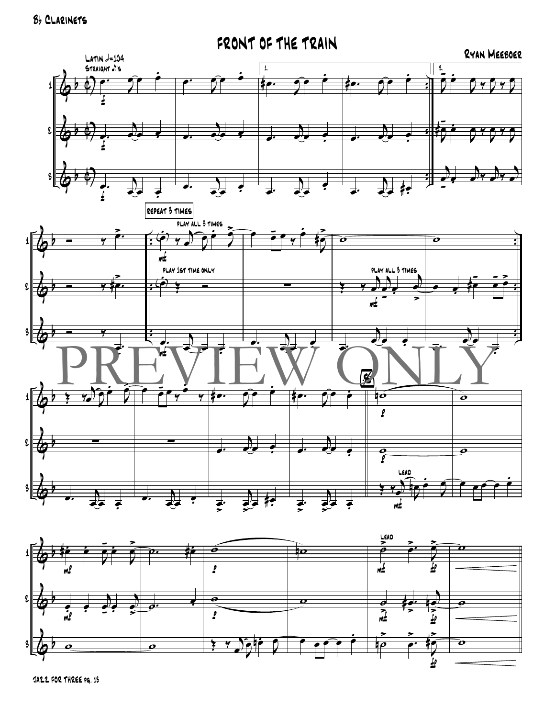

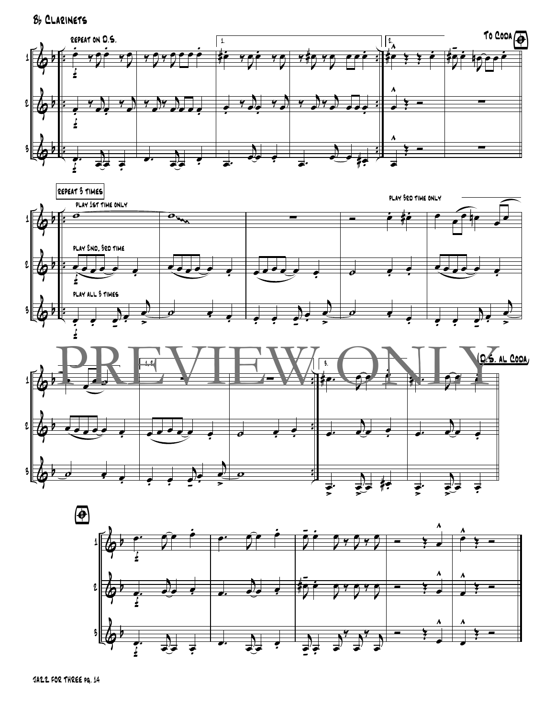Bb CLARINETS







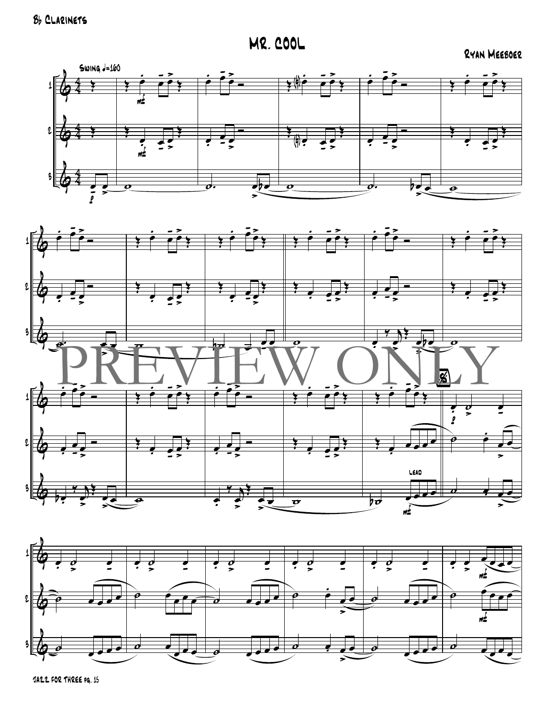**MR. COOL** 

RYAN MEEBOER





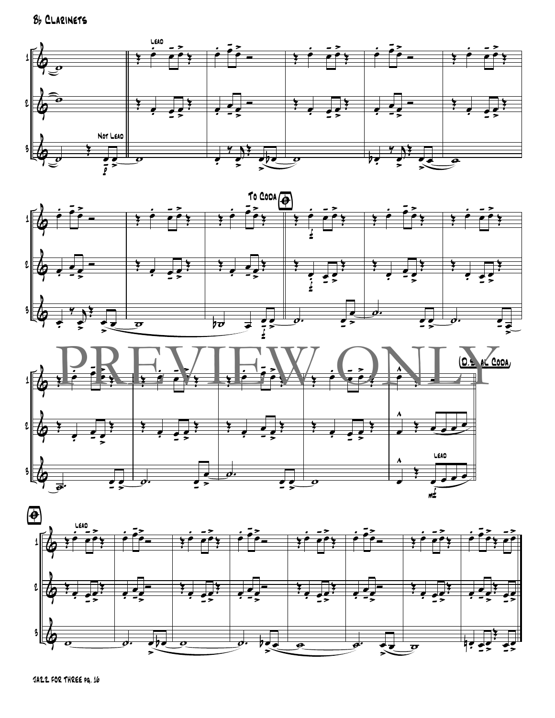Bb CLARINETS







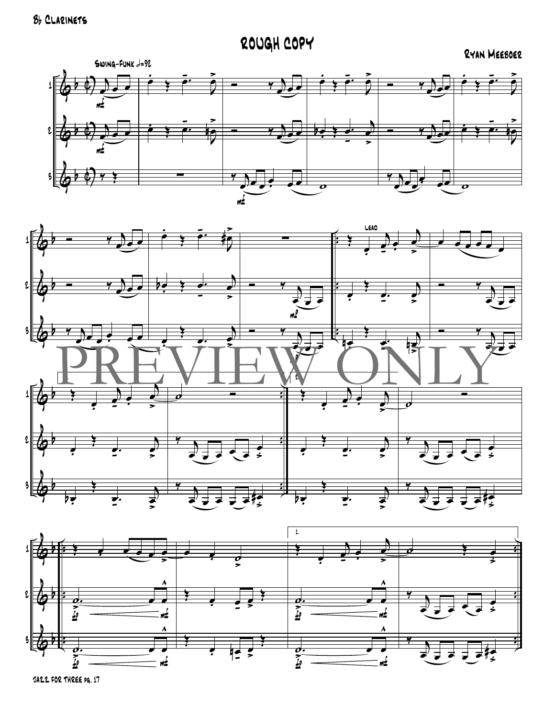ROUGH COPY

RYAN MEEBOER





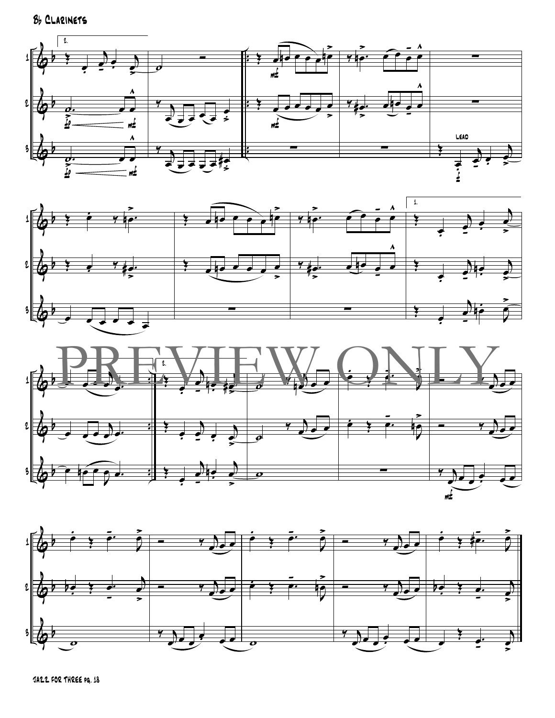Bb CLARINETS







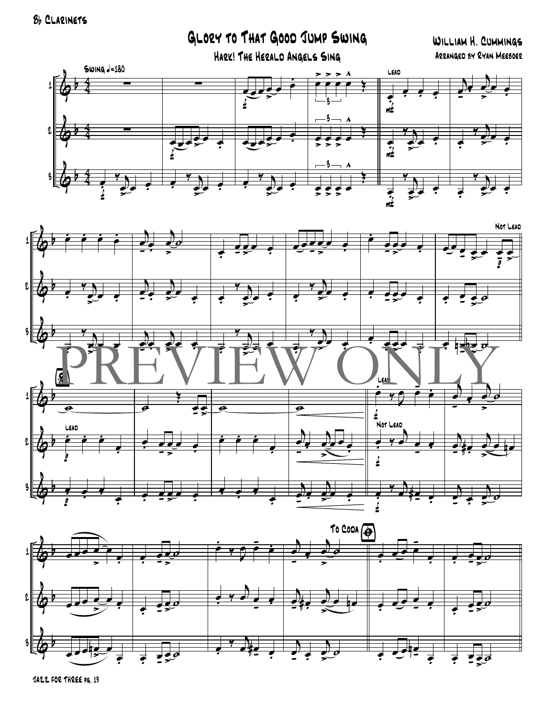### GLORY TO THAT GOOD JUMP SWING

#### WILLIAM H. CUMMINGS ARRANGED BY RYAN MEEBOER